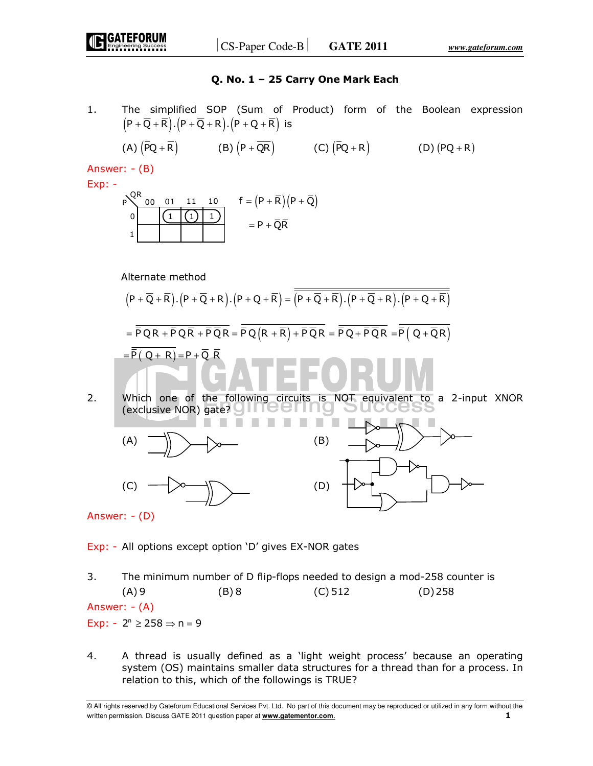# **Q. No. 1 – 25 Carry One Mark Each**

1. The simplified SOP (Sum of Product) form of the Boolean expression  $(P + \overline{Q} + \overline{R}) \cdot (P + \overline{Q} + R) \cdot (P + Q + \overline{R})$  is

(A) 
$$
(\overline{P}Q + \overline{R})
$$
 (B)  $(P + \overline{QR})$  (C)  $(\overline{P}Q + R)$  (D)  $(PQ + R)$ 

Answer: - (B)

Exp: -

$$
\begin{array}{ccc} P & QR & 0 & 0 & 1 & 1 & 10 \\ 0 & \boxed{1 \quad (1) \quad 1} & & & \\ 1 & \boxed{1 \quad (1) \quad 1} & & \\ \end{array} \qquad \begin{array}{c} f = (P + \overline{R}) (P + \overline{Q}) \\ = P + \overline{Q} \overline{R} \end{array}
$$

Alternate method

$$
(P + \overline{Q} + \overline{R}).(P + \overline{Q} + R).(P + Q + \overline{R}) = \overline{(P + \overline{Q} + \overline{R}).(P + \overline{Q} + R).(P + Q + \overline{R})}
$$

$$
= \overline{PQR + PQR + P\overline{QR}} = \overline{PQ(R + \overline{R}) + P\overline{Q}R} = \overline{PQ + P\overline{Q}R} = \overline{P(Q + \overline{Q}R)}
$$

$$
= \overline{P(Q + R)} = P + \overline{Q}R
$$

2. Which one of the following circuits is NOT equivalent to a 2-input XNOR (exclusive NOR) gate? ШQ



Answer: - (D)

Exp: - All options except option 'D' gives EX-NOR gates

- 3. The minimum number of D flip-flops needed to design a mod-258 counter is (A) 9 (B) 8 (C) 512 (D) 258 Answer: - (A) Exp:  $-2^n \ge 258 \Rightarrow n = 9$
- 4. A thread is usually defined as a 'light weight process' because an operating system (OS) maintains smaller data structures for a thread than for a process. In relation to this, which of the followings is TRUE?

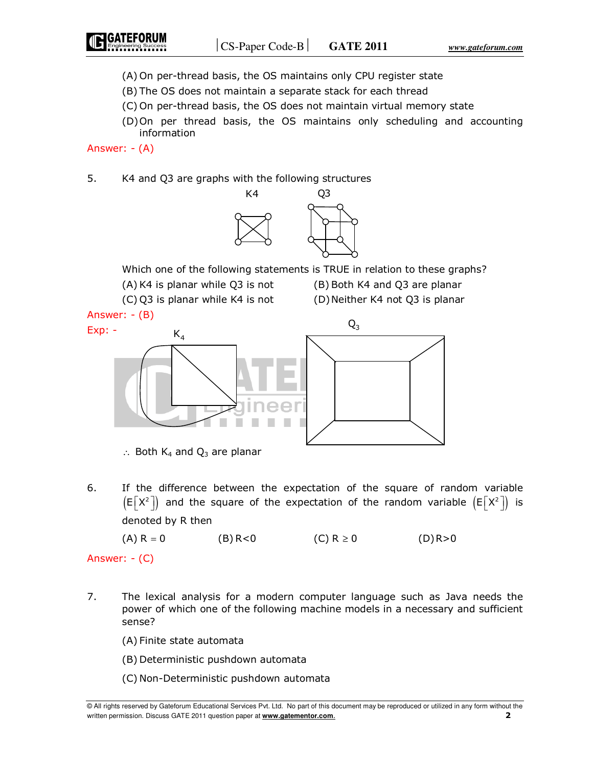- (A) On per-thread basis, the OS maintains only CPU register state
- (B) The OS does not maintain a separate stack for each thread
- (C) On per-thread basis, the OS does not maintain virtual memory state
- (D) On per thread basis, the OS maintains only scheduling and accounting information

Answer: - (A)

5. K4 and Q3 are graphs with the following structures



Which one of the following statements is TRUE in relation to these graphs?

- (A) K4 is planar while Q3 is not (B) Both K4 and Q3 are planar
- (C) Q3 is planar while K4 is not (D) Neither K4 not Q3 is planar



∴ Both  $K_4$  and  $Q_3$  are planar

6. If the difference between the expectation of the square of random variable  $\left(\mathsf{E}\left[X^2\right]\right)$  and the square of the expectation of the random variable  $\left(\mathsf{E}\left[X^2\right]\right)$  is denoted by R then

 $(A) R = 0$  (B) R<0 (C)  $R \ge 0$  (D) R>0

Answer: - (C)

- 7. The lexical analysis for a modern computer language such as Java needs the power of which one of the following machine models in a necessary and sufficient sense?
	- (A) Finite state automata
	- (B) Deterministic pushdown automata
	- (C) Non-Deterministic pushdown automata

<sup>©</sup> All rights reserved by Gateforum Educational Services Pvt. Ltd. No part of this document may be reproduced or utilized in any form without the written permission. Discuss GATE 2011 question paper at **www.gatementor.com**. **2**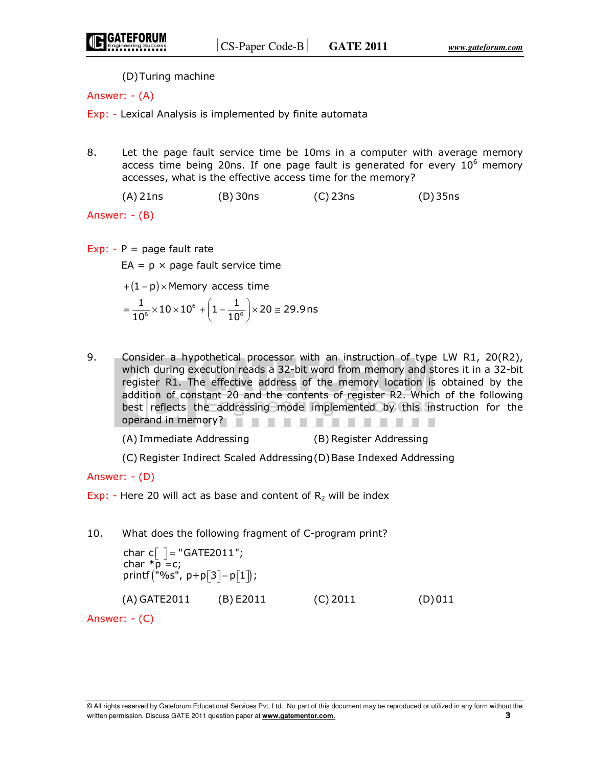(D) Turing machine

Answer: - (A)

Exp: - Lexical Analysis is implemented by finite automata

8. Let the page fault service time be 10ms in a computer with average memory access time being 20ns. If one page fault is generated for every  $10^6$  memory accesses, what is the effective access time for the memory?

(A) 21ns (B) 30ns (C) 23ns (D) 35ns

Answer: - (B)

Exp:  $-P = page$  fault rate

 $EA = p \times page$  fault service time

$$
+(1-p) \times \text{Memory access time}
$$

$$
= \frac{1}{10^6} \times 10 \times 10^6 + \left(1 - \frac{1}{10^6}\right) \times 20 \cong 29.9 \text{ns}
$$

9. Consider a hypothetical processor with an instruction of type LW R1, 20(R2), which during execution reads a 32-bit word from memory and stores it in a 32-bit register R1. The effective address of the memory location is obtained by the addition of constant 20 and the contents of register R2. Which of the following best reflects the addressing mode implemented by this instruction for the operand in memory?

(A) Immediate Addressing (B) Register Addressing

(C) Register Indirect Scaled Addressing (D) Base Indexed Addressing

Answer: - (D)

Exp: - Here 20 will act as base and content of  $R_2$  will be index

10. What does the following fragment of C-program print?

 $\mathsf{printf}(\text{"\%s", p+p[3]-p[1]});$ char c $[$   $]$  = "GATE2011"; char  $\overline{p} = c$ ; (A) GATE2011 (B) E2011 (C) 2011 (D) 011

Answer: - (C)

<sup>©</sup> All rights reserved by Gateforum Educational Services Pvt. Ltd. No part of this document may be reproduced or utilized in any form without the written permission. Discuss GATE 2011 question paper at **www.gatementor.com**. **3**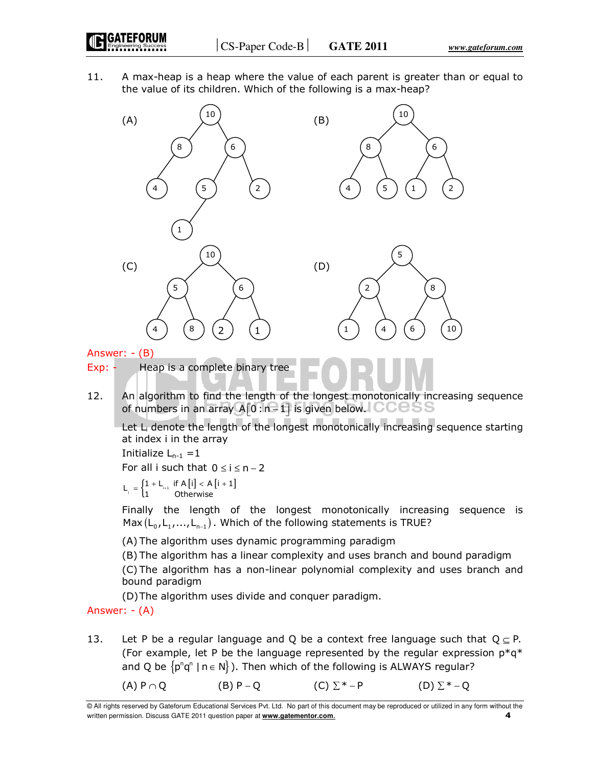11. A max-heap is a heap where the value of each parent is greater than or equal to the value of its children. Which of the following is a max-heap?



Answer: - (B)

Exp: - Heap is a complete binary tree

12. An algorithm to find the length of the longest monotonically increasing sequence of numbers in an array  $A[0:n-1]$  is given below.  $CCCSS$ 

Let L<sub>i</sub> denote the length of the longest monotonically increasing sequence starting at index i in the array

Initialize  $L_{n-1} = 1$ 

For all i such that  $0 \le i \le n - 2$ 

$$
L_i = \begin{cases} 1 + L_{i+1} & \text{if } A[i] < A[i+1] \\ 1 & \text{Otherwise} \end{cases}
$$

 Finally the length of the longest monotonically increasing sequence is Max  $(L_{_0},L_{_1},...,L_{_{n-1}})$  . Which of the following statements is TRUE?

(A) The algorithm uses dynamic programming paradigm

 (B) The algorithm has a linear complexity and uses branch and bound paradigm (C) The algorithm has a non-linear polynomial complexity and uses branch and bound paradigm

(D) The algorithm uses divide and conquer paradigm.

Answer: - (A)

13. Let P be a regular language and Q be a context free language such that  $Q \subset P$ . (For example, let P be the language represented by the regular expression  $p^*q^*$ and Q be  $\{p^n q^n \mid n \in N\}$ ). Then which of the following is ALWAYS regular?

(A) P  $\cap$  Q  $(B)$  P  $\cap$  Q  $(C)$   $\Sigma^*$  - P  $(D)$   $\Sigma^*$  - Q

<sup>©</sup> All rights reserved by Gateforum Educational Services Pvt. Ltd. No part of this document may be reproduced or utilized in any form without the written permission. Discuss GATE 2011 question paper at **www.gatementor.com**. **4**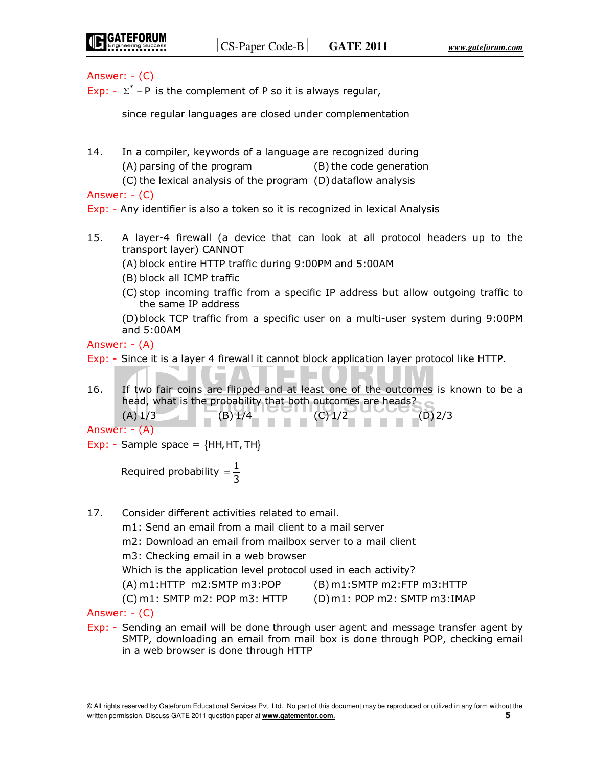## Answer: - (C)

Exp:  $-\Sigma^*$  – P is the complement of P so it is always regular,

since regular languages are closed under complementation

- 14. In a compiler, keywords of a language are recognized during (A) parsing of the program (B) the code generation
	- (C) the lexical analysis of the program (D) dataflow analysis

Answer: - (C)

Exp: - Any identifier is also a token so it is recognized in lexical Analysis

- 15. A layer-4 firewall (a device that can look at all protocol headers up to the transport layer) CANNOT
	- (A) block entire HTTP traffic during 9:00PM and 5:00AM
	- (B) block all ICMP traffic
	- (C) stop incoming traffic from a specific IP address but allow outgoing traffic to the same IP address

 (D) block TCP traffic from a specific user on a multi-user system during 9:00PM and 5:00AM

Answer: - (A)

- Exp: Since it is a layer 4 firewall it cannot block application layer protocol like HTTP.
- 16. If two fair coins are flipped and at least one of the outcomes is known to be a head, what is the probability that both outcomes are heads?
- $(A) 1/3$  (B)  $1/4$  (C)  $1/2$  (D) 2/3 Answer: - (A)
- Exp: Sample space =  ${HH, HT, TH}$

Required probability  $=\frac{1}{3}$ =

- 17. Consider different activities related to email.
	- m1: Send an email from a mail client to a mail server

m2: Download an email from mailbox server to a mail client

- m3: Checking email in a web browser
- Which is the application level protocol used in each activity?
- (A) m1:HTTP m2:SMTP m3:POP (B) m1:SMTP m2:FTP m3:HTTP
- (C) m1: SMTP m2: POP m3: HTTP (D) m1: POP m2: SMTP m3:IMAP

Answer: - (C)

Exp: - Sending an email will be done through user agent and message transfer agent by SMTP, downloading an email from mail box is done through POP, checking email in a web browser is done through HTTP

<sup>©</sup> All rights reserved by Gateforum Educational Services Pvt. Ltd. No part of this document may be reproduced or utilized in any form without the written permission. Discuss GATE 2011 question paper at **www.gatementor.com**. **5**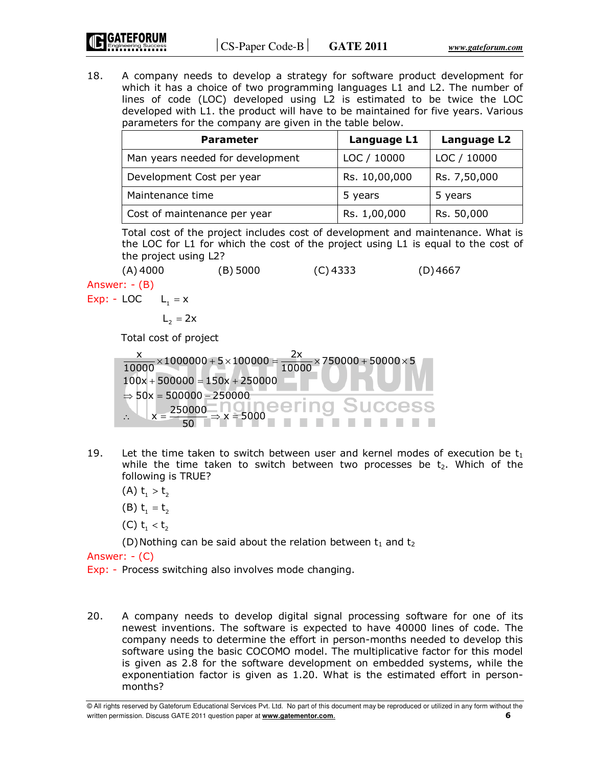18. A company needs to develop a strategy for software product development for which it has a choice of two programming languages L1 and L2. The number of lines of code (LOC) developed using L2 is estimated to be twice the LOC developed with L1. the product will have to be maintained for five years. Various parameters for the company are given in the table below.

| <b>Parameter</b>                 | Language L1   | Language L2  |
|----------------------------------|---------------|--------------|
| Man years needed for development | LOC / 10000   | LOC / 10000  |
| Development Cost per year        | Rs. 10,00,000 | Rs. 7,50,000 |
| Maintenance time                 | 5 years       | 5 years      |
| Cost of maintenance per year     | Rs. 1,00,000  | Rs. 50,000   |

 Total cost of the project includes cost of development and maintenance. What is the LOC for L1 for which the cost of the project using L1 is equal to the cost of the project using L2?

 $(A)$  4000 (B) 5000 (C) 4333 (D) 4667

Answer: - (B)

Exp: - LOC  $L_1 = x$ 

$$
L_2 = 2x
$$

Total cost of project

| $\frac{1}{2}$ × 1000000 + 5 × 100000 = - | $\times$ 750000 + 50000 $\times$ 5 |
|------------------------------------------|------------------------------------|
| $100x + 500000 = 150x + 250000$          |                                    |
| $\Rightarrow$ 50x = 500000 - 250000      |                                    |
|                                          | no Liumeering Success              |

- 19. Let the time taken to switch between user and kernel modes of execution be  $t_1$ while the time taken to switch between two processes be  $t<sub>2</sub>$ . Which of the following is TRUE?
	- (A)  $t_1 > t_2$
	- (B)  $t_1 = t_2$
	- (C)  $t_1 < t_2$

(D) Nothing can be said about the relation between  $t_1$  and  $t_2$ 

Answer: - (C)

Exp: - Process switching also involves mode changing.

20. A company needs to develop digital signal processing software for one of its newest inventions. The software is expected to have 40000 lines of code. The company needs to determine the effort in person-months needed to develop this software using the basic COCOMO model. The multiplicative factor for this model is given as 2.8 for the software development on embedded systems, while the exponentiation factor is given as 1.20. What is the estimated effort in personmonths?

<sup>©</sup> All rights reserved by Gateforum Educational Services Pvt. Ltd. No part of this document may be reproduced or utilized in any form without the written permission. Discuss GATE 2011 question paper at **www.gatementor.com**. **6**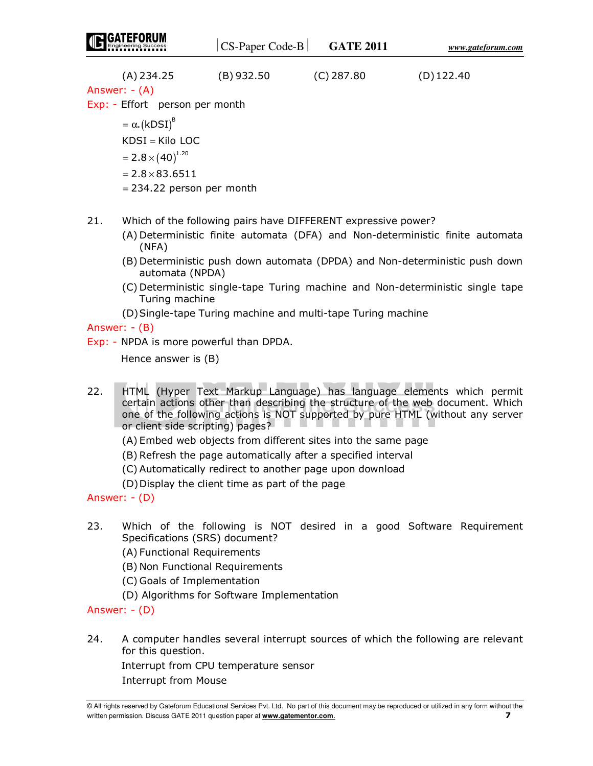|                                                                                                                                          | $CS$ -Paper Code-B | <b>GATE 2011</b> | www.gateforum.com |
|------------------------------------------------------------------------------------------------------------------------------------------|--------------------|------------------|-------------------|
| $(A)$ 234.25<br>Answer: $-(A)$<br>Exp: - Effort person per month                                                                         | $(B)$ 932.50       | $(C)$ 287.80     | $(D)$ 122.40      |
| $=\alpha$ . (kDSI) <sup>B</sup><br>$KDSI = Kilo LOC$<br>$=2.8\times(40)^{1.20}$<br>$= 2.8 \times 83.6511$<br>$= 234.22$ person per month |                    |                  |                   |

- 21. Which of the following pairs have DIFFERENT expressive power?
	- (A) Deterministic finite automata (DFA) and Non-deterministic finite automata (NFA)
	- (B) Deterministic push down automata (DPDA) and Non-deterministic push down automata (NPDA)
	- (C) Deterministic single-tape Turing machine and Non-deterministic single tape Turing machine
	- (D) Single-tape Turing machine and multi-tape Turing machine

# Answer: - (B)

Exp: - NPDA is more powerful than DPDA.

Hence answer is (B)

- 22. HTML (Hyper Text Markup Language) has language elements which permit certain actions other than describing the structure of the web document. Which one of the following actions is NOT supported by pure HTML (without any server or client side scripting) pages?
	- (A) Embed web objects from different sites into the same page
	- (B) Refresh the page automatically after a specified interval
	- (C) Automatically redirect to another page upon download
	- (D) Display the client time as part of the page

Answer: - (D)

- 23. Which of the following is NOT desired in a good Software Requirement Specifications (SRS) document?
	- (A) Functional Requirements
	- (B) Non Functional Requirements
	- (C) Goals of Implementation
	- (D) Algorithms for Software Implementation

# Answer: - (D)

24. A computer handles several interrupt sources of which the following are relevant for this question.

 Interrupt from CPU temperature sensor Interrupt from Mouse

<sup>©</sup> All rights reserved by Gateforum Educational Services Pvt. Ltd. No part of this document may be reproduced or utilized in any form without the written permission. Discuss GATE 2011 question paper at **www.gatementor.com**. **7**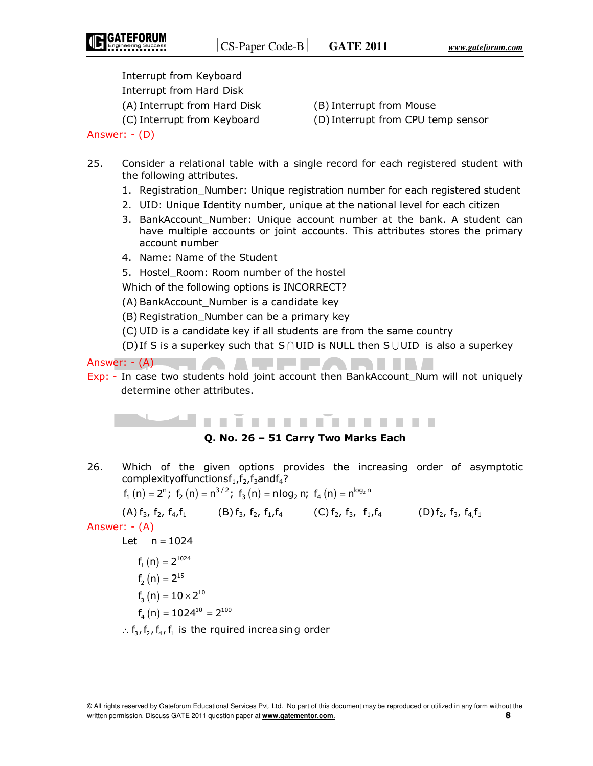Interrupt from Keyboard Interrupt from Hard Disk (A) Interrupt from Hard Disk (B) Interrupt from Mouse

(C) Interrupt from Keyboard (D) Interrupt from CPU temp sensor

- 25. Consider a relational table with a single record for each registered student with the following attributes.
	- 1. Registration\_Number: Unique registration number for each registered student
	- 2. UID: Unique Identity number, unique at the national level for each citizen
	- 3. BankAccount Number: Unique account number at the bank. A student can have multiple accounts or joint accounts. This attributes stores the primary account number
	- 4. Name: Name of the Student
	- 5. Hostel Room: Room number of the hostel

Which of the following options is INCORRECT?

(A) BankAccount\_Number is a candidate key

- (B) Registration\_Number can be a primary key
- (C) UID is a candidate key if all students are from the same country
- (D) If S is a superkey such that  $S \cap UID$  is NULL then S UUID is also a superkey

Answer: - (A)

Exp: - In case two students hold joint account then BankAccount\_Num will not uniquely determine other attributes.

41 . . . . . . . . . . . . . . . .

**SALLER** 

## **Q. No. 26 – 51 Carry Two Marks Each**

26. Which of the given options provides the increasing order of asymptotic complexity of functions  $f_1, f_2, f_3$  and  $f_4$ ?

$$
f_1(n) = 2^n; f_2(n) = n^{3/2}; f_3(n) = n \log_2 n; f_4(n) = n^{\log_2 n}
$$

(A)  $f_3$ ,  $f_2$ ,  $f_4$ ,  $f_1$  (B)  $f_3$ ,  $f_2$ ,  $f_1$ ,  $f_4$  (C)  $f_2$ ,  $f_3$ ,  $f_1$ ,  $f_4$  (D)  $f_2$ ,  $f_3$ ,  $f_4$ ,  $f_1$ Answer: - (A) Let  $n = 1024$  $f_1(n) = 2^{1024}$  $f_2(n) = 2^{15}$  $f_3(n) = 10 \times 2^{10}$  $f_4(n) = 1024^{10} = 2^{100}$ 

 $\therefore$  f<sub>3</sub>, f<sub>2</sub>, f<sub>4</sub>, f<sub>1</sub> is the rquired increasing order

Answer: - (D)

<sup>©</sup> All rights reserved by Gateforum Educational Services Pvt. Ltd. No part of this document may be reproduced or utilized in any form without the written permission. Discuss GATE 2011 question paper at **www.gatementor.com**. **8**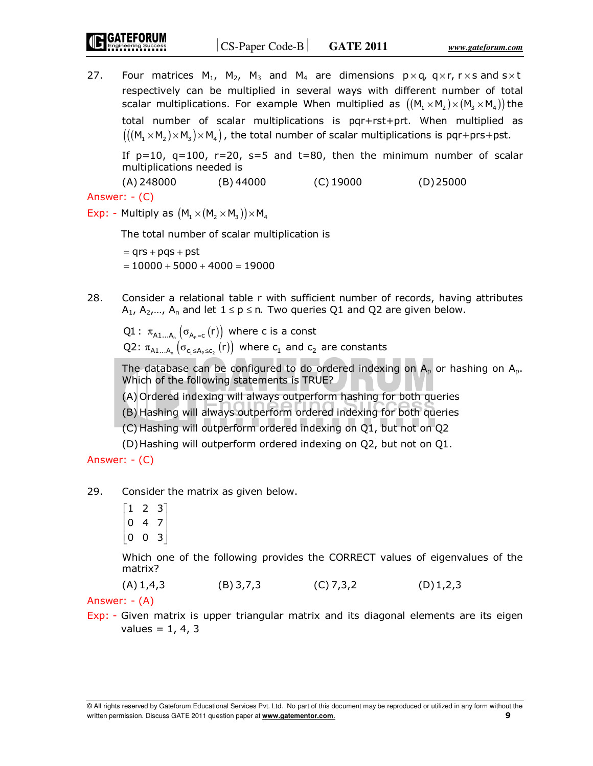27. Four matrices M<sub>1</sub>, M<sub>2</sub>, M<sub>3</sub> and M<sub>4</sub> are dimensions  $p \times q$ ,  $q \times r$ ,  $r \times s$  and  $s \times t$ respectively can be multiplied in several ways with different number of total scalar multiplications. For example When multiplied as  $((M_1 \times M_2) \times (M_3 \times M_4))$  the total number of scalar multiplications is pqr+rst+prt. When multiplied as  $(((M, \times M, \times M, \times M))$ , the total number of scalar multiplications is pqr+prs+pst.

If  $p=10$ ,  $q=100$ ,  $r=20$ ,  $s=5$  and  $t=80$ , then the minimum number of scalar multiplications needed is

(A) 248000 (B) 44000 (C) 19000 (D) 25000

Answer: - (C)

Exp: - Multiply as  $(M_1 \times (M_2 \times M_3)) \times M_4$ 

The total number of scalar multiplication is

 $= qrs + pqs + pst$  $= 10000 + 5000 + 4000 = 19000$ 

28. Consider a relational table r with sufficient number of records, having attributes  $A_1$ ,  $A_2$ ,...,  $A_n$  and let  $1 \le p \le n$ . Two queries Q1 and Q2 are given below.

 $\mathsf{Q1}:\; \pi_{\mathsf{A1}...\mathsf{A}_\mathsf{n}}\left(\sigma_{\mathsf{A_p}=\mathsf{c}}\left(\mathsf{r}\right)\right)$  where  $\mathsf{c}$  is a const Q2:  $\pi_{A1...A_n}(\sigma_{c_1\leq A_p\leq c_2}(r))$  where  $c_1$  and  $c_2$  are constants

The database can be configured to do ordered indexing on  $A_p$  or hashing on  $A_p$ . Which of the following statements is TRUE?

(A) Ordered indexing will always outperform hashing for both queries

(B) Hashing will always outperform ordered indexing for both queries

(C) Hashing will outperform ordered indexing on Q1, but not on Q2

(D) Hashing will outperform ordered indexing on Q2, but not on Q1.

Answer: - (C)

29. Consider the matrix as given below.

 $\begin{bmatrix} 1 & 2 & 3 \end{bmatrix}$  $\begin{vmatrix} 0 & 4 & 7 \end{vmatrix}$  $\begin{bmatrix} 0 & 0 & 3 \end{bmatrix}$  $\begin{bmatrix} 0 & 4 & 7 \end{bmatrix}$ 

 Which one of the following provides the CORRECT values of eigenvalues of the matrix?

 $(A) 1,4,3$  (B) 3,7,3 (C) 7,3,2 (D) 1,2,3

Answer: - (A)

Exp: - Given matrix is upper triangular matrix and its diagonal elements are its eigen  $values = 1, 4, 3$ 

<sup>©</sup> All rights reserved by Gateforum Educational Services Pvt. Ltd. No part of this document may be reproduced or utilized in any form without the written permission. Discuss GATE 2011 question paper at **www.gatementor.com**. **9**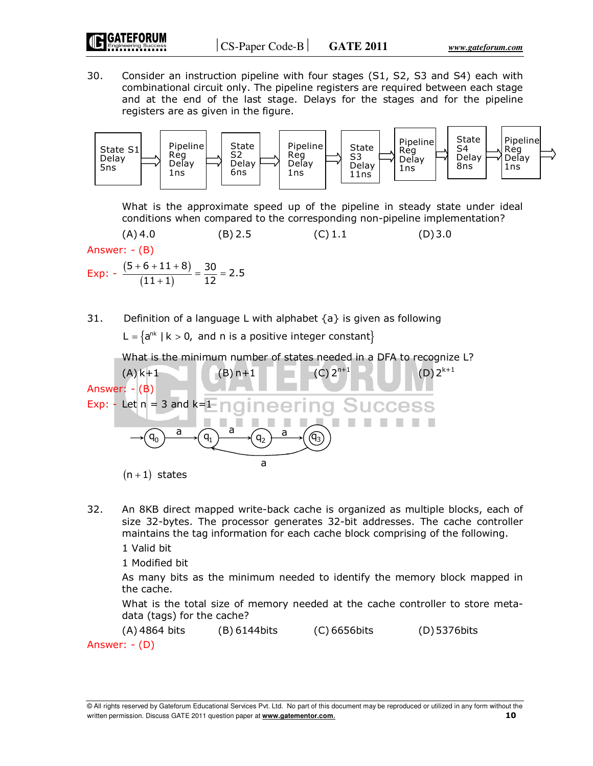30. Consider an instruction pipeline with four stages (S1, S2, S3 and S4) each with combinational circuit only. The pipeline registers are required between each stage and at the end of the last stage. Delays for the stages and for the pipeline registers are as given in the figure.



 What is the approximate speed up of the pipeline in steady state under ideal conditions when compared to the corresponding non-pipeline implementation?

 $(A)$  4.0 (B) 2.5 (C) 1.1 (D) 3.0 Answer: - (B) Exp:  $-\frac{(5+6+11+8)}{(11+1)}$  $\overline{(11+1)}$  $\frac{5+6+11+8)}{(11+1)} = \frac{30}{12} = 2.5$  $\frac{+6+11+8)}{(11+1)} = \frac{30}{12} =$ 

31. Definition of a language L with alphabet  $\{a\}$  is given as following

L =  $\{a^{nk} \mid k > 0$ , and n is a positive integer constant $\}$ 

What is the minimum number of states needed in a DFA to recognize L?



- 32. An 8KB direct mapped write-back cache is organized as multiple blocks, each of size 32-bytes. The processor generates 32-bit addresses. The cache controller maintains the tag information for each cache block comprising of the following.
	- 1 Valid bit

1 Modified bit

 As many bits as the minimum needed to identify the memory block mapped in the cache.

 What is the total size of memory needed at the cache controller to store metadata (tags) for the cache?

 (A) 4864 bits (B) 6144bits (C) 6656bits (D) 5376bits Answer: - (D)

<sup>©</sup> All rights reserved by Gateforum Educational Services Pvt. Ltd. No part of this document may be reproduced or utilized in any form without the written permission. Discuss GATE 2011 question paper at **www.gatementor.com**. **10**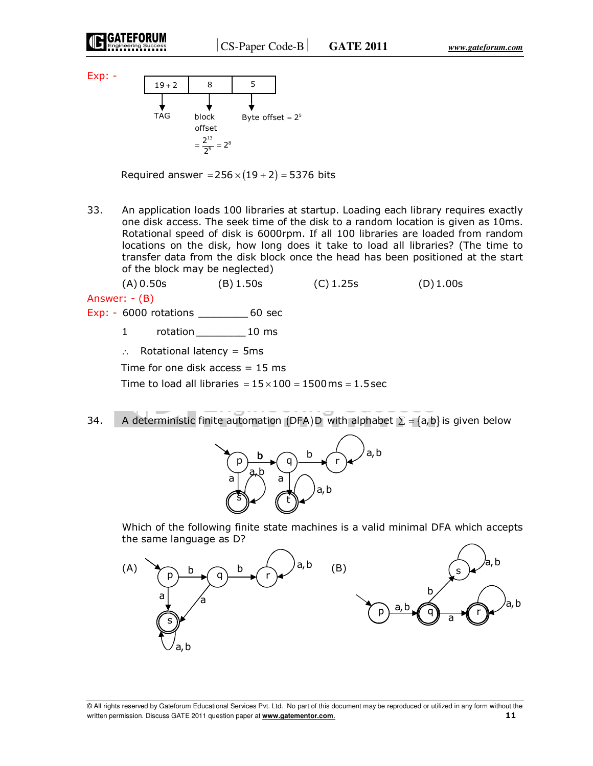

Exp: -



Required answer =  $256 \times (19 + 2) = 5376$  bits

33. An application loads 100 libraries at startup. Loading each library requires exactly one disk access. The seek time of the disk to a random location is given as 10ms. Rotational speed of disk is 6000rpm. If all 100 libraries are loaded from random locations on the disk, how long does it take to load all libraries? (The time to transfer data from the disk block once the head has been positioned at the start of the block may be neglected)

 (A) 0.50s (B) 1.50s (C) 1.25s (D) 1.00s Answer: - (B)

- Exp: 6000 rotations \_\_\_\_\_\_\_\_ 60 sec
	- 1 rotation 10 ms
	- ∴ Rotational latency = 5ms

Time for one disk access  $= 15$  ms

Time to load all libraries =  $15 \times 100 = 1500$  ms =  $1.5$  sec

34. A deterministic finite automation (DFA) D with alphabet  $\Sigma = \{a, b\}$  is given below



 Which of the following finite state machines is a valid minimal DFA which accepts the same language as D?

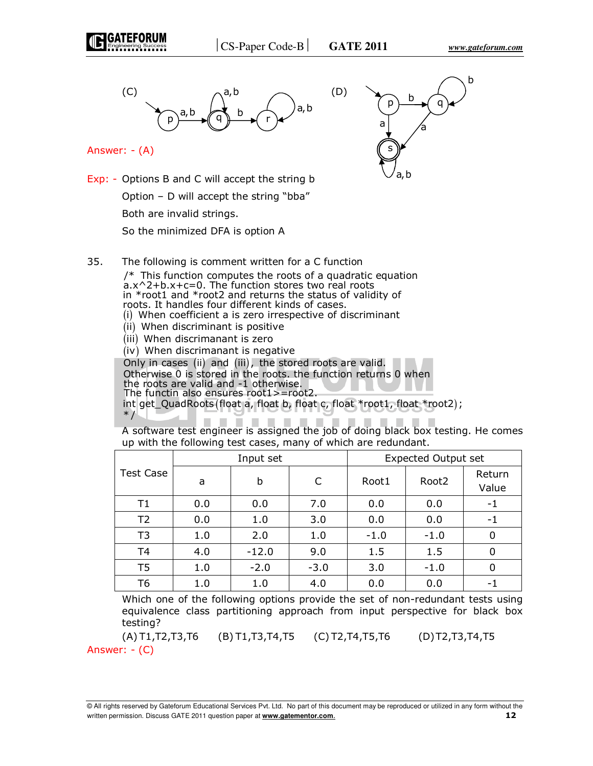



Answer: - (A)

 $p \rightarrow p'$  q s a b a a,b b

Exp: - Options B and C will accept the string b Option – D will accept the string "bba" Both are invalid strings.

So the minimized DFA is option A

35. The following is comment written for a C function

 $/*$  This function computes the roots of a quadratic equation a.x^2+b.x+c=0. The function stores two real roots in \*root1 and \*root2 and returns the status of validity of roots. It handles four different kinds of cases. (i) When coefficient a is zero irrespective of discriminant  $(iii)$  When discriminant is positive  $(iii)$  When discrimanant is zero  $(iv)$  When discrimanant is negative Only in cases (ii) and (iii), the stored roots are valid. Otherwise 0 is stored in the roots. the function returns 0 when the roots are valid and -1 otherwise. The functin also ensures root1>=root2. int get\_QuadRoots (float a, float b, float c, float \*root1, float \*root2);  $*$  /

 A software test engineer is assigned the job of doing black box testing. He comes up with the following test cases, many of which are redundant.

|                  | Input set |         |        | <b>Expected Output set</b> |                   |                 |
|------------------|-----------|---------|--------|----------------------------|-------------------|-----------------|
| <b>Test Case</b> | a         | b       |        | Root1                      | Root <sub>2</sub> | Return<br>Value |
| T1               | 0.0       | 0.0     | 7.0    | 0.0                        | 0.0               | - 1             |
| T <sub>2</sub>   | 0.0       | 1.0     | 3.0    | 0.0                        | 0.0               | -1              |
| T <sub>3</sub>   | 1.0       | 2.0     | 1.0    | $-1.0$                     | $-1.0$            |                 |
| T <sub>4</sub>   | 4.0       | $-12.0$ | 9.0    | 1.5                        | 1.5               |                 |
| T <sub>5</sub>   | 1.0       | $-2.0$  | $-3.0$ | 3.0                        | $-1.0$            | 0               |
| T6               | 1.0       | 1.0     | 4.0    | 0.0                        | 0.0               | - 1             |

 Which one of the following options provide the set of non-redundant tests using equivalence class partitioning approach from input perspective for black box testing?

 (A) T1,T2,T3,T6 (B) T1,T3,T4,T5 (C) T2,T4,T5,T6 (D) T2,T3,T4,T5 Answer: - (C)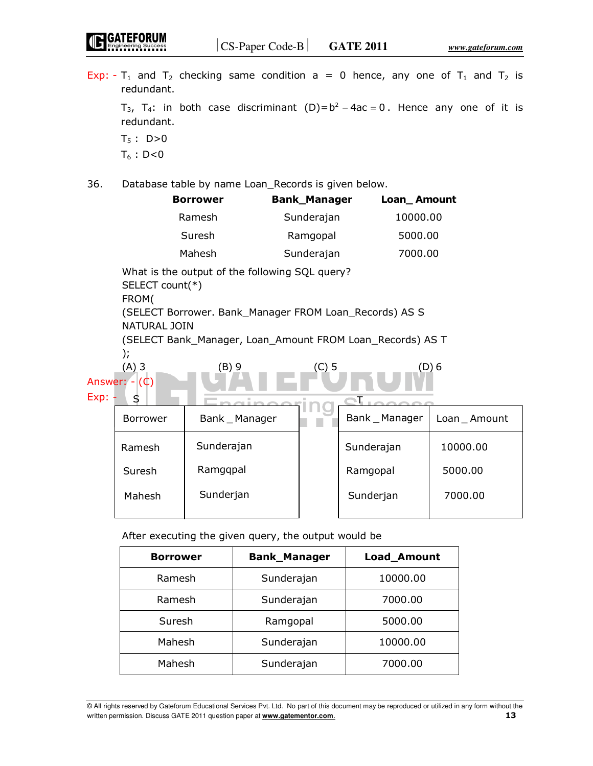Exp: - T<sub>1</sub> and T<sub>2</sub> checking same condition a = 0 hence, any one of T<sub>1</sub> and T<sub>2</sub> is redundant.

 $T_{3}$ ,  $T_{4}$ : in both case discriminant (D)= $b^{2} - 4ac = 0$ . Hence any one of it is redundant.  $T_5$  : D>0

 $T_6$  : D<0

GATEFORUM

36. Database table by name Loan\_Records is given below.

| <b>Borrower</b> | <b>Bank_Manager</b> | Loan_Amount |
|-----------------|---------------------|-------------|
| Ramesh          | Sunderajan          | 10000.00    |
| Suresh          | Ramgopal            | 5000.00     |
| Mahesh          | Sunderajan          | 7000.00     |

 What is the output of the following SQL query? SELECT count(\*)

FROM(

 (SELECT Borrower. Bank\_Manager FROM Loan\_Records) AS S NATURAL JOIN

 (SELECT Bank\_Manager, Loan\_Amount FROM Loan\_Records) AS T );

| (A) 3          | B) 9 | U |  |
|----------------|------|---|--|
| Answer: $-(C)$ |      |   |  |

| Exp: | S               |                |                |               |
|------|-----------------|----------------|----------------|---------------|
|      | <b>Borrower</b> | Bank _ Manager | Bank _ Manager | Loan _ Amount |
|      | Ramesh          | Sunderajan     | Sunderajan     | 10000.00      |
|      | Suresh          | Ramggpal       | Ramgopal       | 5000.00       |
|      | Mahesh          | Sunderjan      | Sunderjan      | 7000.00       |
|      |                 |                |                |               |

After executing the given query, the output would be

| <b>Borrower</b> | <b>Bank_Manager</b> | Load_Amount |
|-----------------|---------------------|-------------|
| Ramesh          | Sunderajan          | 10000.00    |
| Ramesh          | Sunderajan          | 7000.00     |
| Suresh          | Ramgopal            | 5000.00     |
| Mahesh          | Sunderajan          | 10000.00    |
| Mahesh          | Sunderajan          | 7000.00     |

<sup>©</sup> All rights reserved by Gateforum Educational Services Pvt. Ltd. No part of this document may be reproduced or utilized in any form without the written permission. Discuss GATE 2011 question paper at **www.gatementor.com**. **13**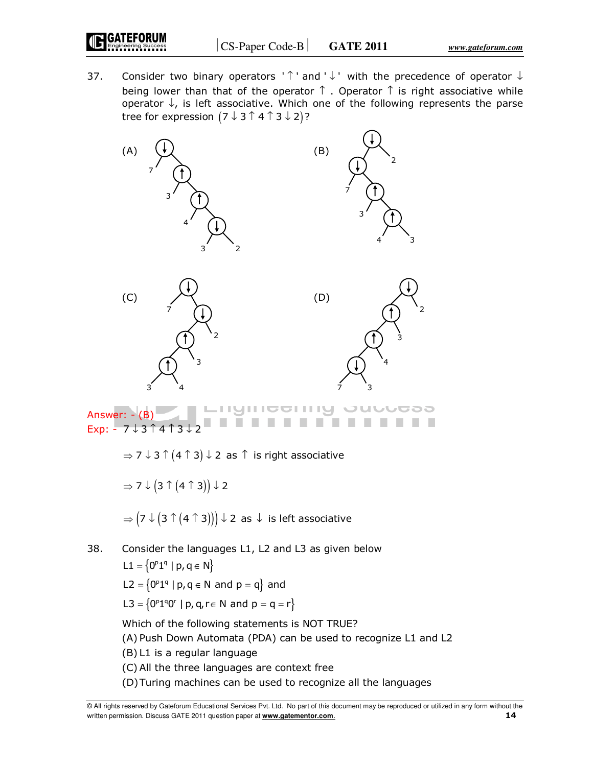37. Consider two binary operators '  $\uparrow$  ' and '  $\downarrow$  ' with the precedence of operator  $\downarrow$ being lower than that of the operator  $\uparrow$  . Operator  $\uparrow$  is right associative while operator  $\downarrow$ , is left associative. Which one of the following represents the parse tree for expression  $(7 \downarrow 3 \uparrow 4 \uparrow 3 \downarrow 2)$ ?





 $\Rightarrow$  7  $\downarrow$  3  $\uparrow$  (4  $\uparrow$  3)  $\downarrow$  2 as  $\uparrow$  is right associative

$$
\Rightarrow 7 \downarrow \left(3 \uparrow \left(4 \uparrow 3\right)\right) \downarrow 2
$$

 $\Rightarrow (7 \downarrow (3 \uparrow (4 \uparrow 3))) \downarrow$  2 as  $\downarrow$  is left associative

38. Consider the languages L1, L2 and L3 as given below  $L1 = \{0^p1^q \mid p, q \in N\}$  $L2 = \left\{0^{p}1^{q} | p, q \in N \text{ and } p = q \right\}$  and

 $L3 = \left\{0^p1^q0^r \mid p, q, r \in \mathbb{N} \text{ and } p = q = r \right\}$ 

Which of the following statements is NOT TRUE?

(A) Push Down Automata (PDA) can be used to recognize L1 and L2

(B) L1 is a regular language

- (C) All the three languages are context free
- (D) Turing machines can be used to recognize all the languages

<sup>©</sup> All rights reserved by Gateforum Educational Services Pvt. Ltd. No part of this document may be reproduced or utilized in any form without the written permission. Discuss GATE 2011 question paper at **www.gatementor.com**. **14**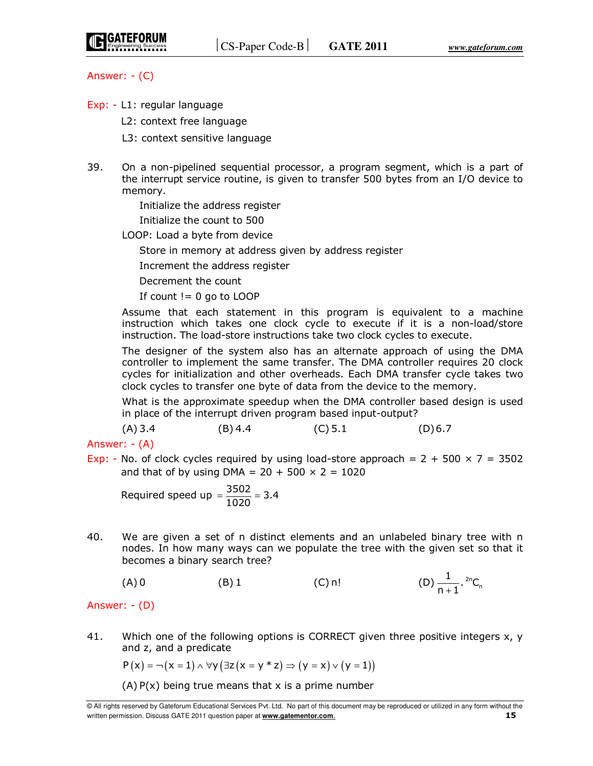

Answer: - (C)

- Exp: L1: regular language
	- L2: context free language
	- L3: context sensitive language
- 39. On a non-pipelined sequential processor, a program segment, which is a part of the interrupt service routine, is given to transfer 500 bytes from an I/O device to memory.

 Initialize the address register Initialize the count to 500

LOOP: Load a byte from device

Store in memory at address given by address register

Increment the address register

Decrement the count

If count  $!= 0$  go to LOOP

 Assume that each statement in this program is equivalent to a machine instruction which takes one clock cycle to execute if it is a non-load/store instruction. The load-store instructions take two clock cycles to execute.

 The designer of the system also has an alternate approach of using the DMA controller to implement the same transfer. The DMA controller requires 20 clock cycles for initialization and other overheads. Each DMA transfer cycle takes two clock cycles to transfer one byte of data from the device to the memory.

 What is the approximate speedup when the DMA controller based design is used in place of the interrupt driven program based input-output?

 $(A)$  3.4 (B) 4.4 (C) 5.1 (D) 6.7

Answer: - (A)

Exp: - No. of clock cycles required by using load-store approach =  $2 + 500 \times 7 = 3502$ and that of by using DMA =  $20 + 500 \times 2 = 1020$ 

Required speed up =  $\frac{3502}{1020}$  = 3.4  $=\frac{3302}{1000}$  =

40. We are given a set of n distinct elements and an unlabeled binary tree with n nodes. In how many ways can we populate the tree with the given set so that it becomes a binary search tree?

(A) 0 (B) 1 (C) n! (D)  $\frac{1}{n+1}$ . <sup>2n</sup>C<sub>n</sub>  $\frac{1}{n+1}$ . <sup>2n</sup>C<sub>n</sub>

## Answer: - (D)

41. Which one of the following options is CORRECT given three positive integers x, y and z, and a predicate

$$
P(x) = \neg(x = 1) \land \forall y (\exists z (x = y * z) \Rightarrow (y = x) \lor (y = 1))
$$

 $(A)$  P(x) being true means that x is a prime number

<sup>©</sup> All rights reserved by Gateforum Educational Services Pvt. Ltd. No part of this document may be reproduced or utilized in any form without the written permission. Discuss GATE 2011 question paper at **www.gatementor.com**. **15**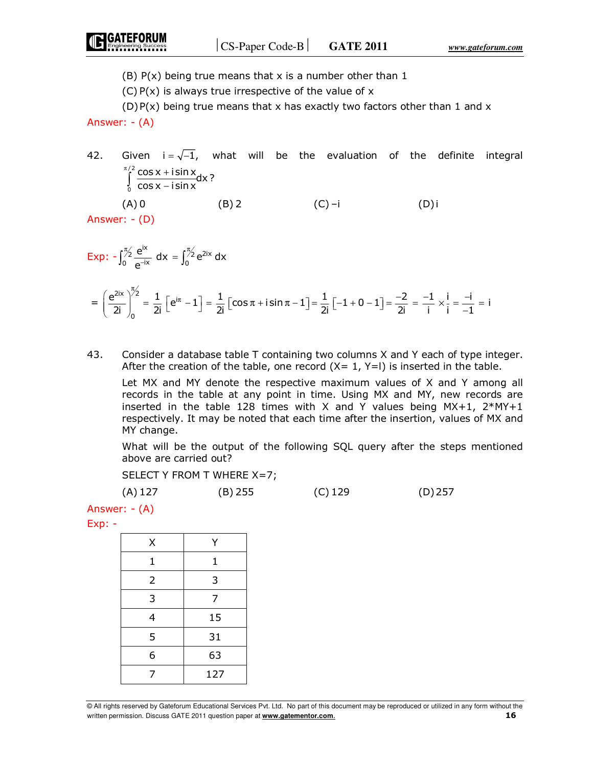(B)  $P(x)$  being true means that x is a number other than 1

 $(C) P(x)$  is always true irrespective of the value of x

 $(D)P(x)$  being true means that x has exactly two factors other than 1 and x Answer: - (A)

42. Given  $i = \sqrt{-1}$ , what will be the evaluation of the definite integral / 2 0 cos x + i sin x<br>cos x – i sin x  $\int_0^{\pi/2}$  COS X +  $\int_{0}^{1} \frac{\cos x + \sin x}{\cos x - \cos x}$  $(A) 0$  (B) 2 (C) –i (D) i

Answer: - (D)

$$
Exp: -\int_0^{\frac{\pi}{2}} \frac{e^{ix}}{e^{-ix}} dx = \int_0^{\frac{\pi}{2}} e^{2ix} dx
$$

$$
= \left(\frac{e^{2ix}}{2i}\right)_0^{\frac{\pi}{2}} = \frac{1}{2i} \left[e^{i\pi} - 1\right] = \frac{1}{2i} \left[\cos \pi + i \sin \pi - 1\right] = \frac{1}{2i} \left[-1 + 0 - 1\right] = \frac{-2}{2i} = \frac{-1}{i} \times \frac{i}{i} = \frac{-i}{-1} = i
$$

43. Consider a database table T containing two columns X and Y each of type integer. After the creation of the table, one record  $(X= 1, Y=1)$  is inserted in the table.

 Let MX and MY denote the respective maximum values of X and Y among all records in the table at any point in time. Using MX and MY, new records are inserted in the table 128 times with X and Y values being  $MX+1$ ,  $2*MY+1$ respectively. It may be noted that each time after the insertion, values of MX and MY change.

 What will be the output of the following SQL query after the steps mentioned above are carried out?

SELECT Y FROM T WHERE X=7;

(A) 127 (B) 255 (C) 129 (D) 257

Answer: - (A)

Exp: -

| Χ              | Υ   |
|----------------|-----|
| $\mathbf{1}$   | 1   |
| $\overline{2}$ | 3   |
| 3              | 7   |
| 4              | 15  |
| 5              | 31  |
| 6              | 63  |
| 7              | 127 |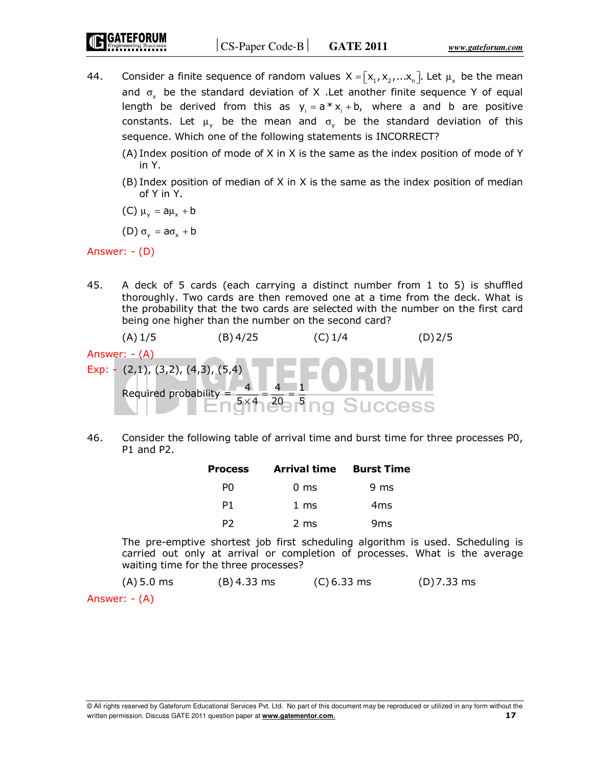- 44. Consider a finite sequence of random values  $X = [x_1, x_2, ... x_n]$ . Let  $\mu_x$  be the mean and  $\sigma_{\rm x}$  be the standard deviation of X .Let another finite sequence Y of equal length be derived from this as  $y_i = a * x_i + b$ , where a and b are positive constants. Let  $\mu_{y}$  be the mean and  $\sigma_{y}$  be the standard deviation of this sequence. Which one of the following statements is INCORRECT?
	- (A) Index position of mode of X in X is the same as the index position of mode of Y in Y.
	- (B) Index position of median of X in X is the same as the index position of median of Y in Y.
	- (C)  $\mu_v = a\mu_x + b$
	- (D)  $\sigma_v = a\sigma_v + b$

Answer: - (D)

45. A deck of 5 cards (each carrying a distinct number from 1 to 5) is shuffled thoroughly. Two cards are then removed one at a time from the deck. What is the probability that the two cards are selected with the number on the first card being one higher than the number on the second card?

(A) 1/5 (B) 4/25 (C) 1/4 (D) 2/5  
\nAnswer: - (A)  
\nExp: - (2,1), (3,2), (4,3), (5,4)  
\nRequired probability = 
$$
\frac{4}{5 \times 4} = \frac{4}{20} = \frac{1}{5}
$$

46. Consider the following table of arrival time and burst time for three processes P0, P1 and P2.

| <b>Process</b> | <b>Arrival time Burst Time</b> |                 |
|----------------|--------------------------------|-----------------|
| PO             | $0 \text{ ms}$                 | 9 ms            |
| P1             | $1 \text{ ms}$                 | 4ms             |
| P2             | 2 ms                           | 9 <sub>ms</sub> |

 The pre-emptive shortest job first scheduling algorithm is used. Scheduling is carried out only at arrival or completion of processes. What is the average waiting time for the three processes?

 $(A) 5.0$  ms  $(B) 4.33$  ms  $(C) 6.33$  ms  $(D) 7.33$  ms Answer: - (A)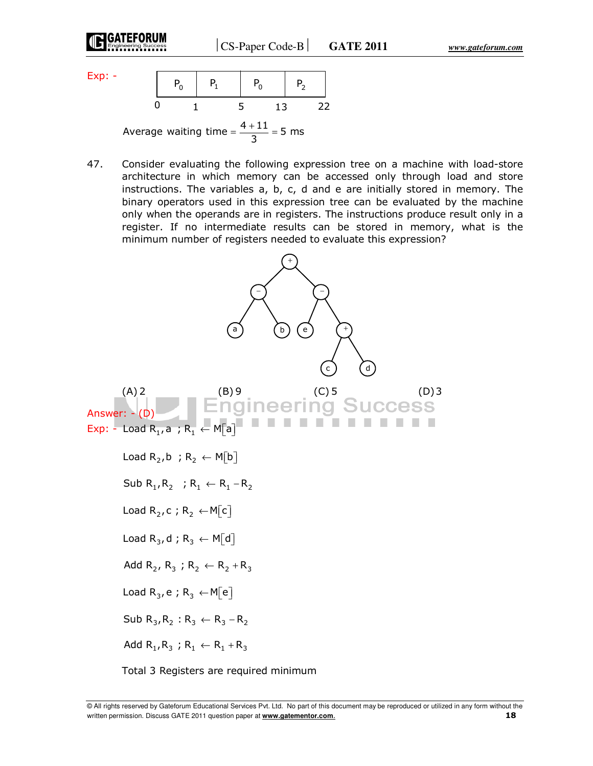Exp: -

$$
\begin{array}{c|ccccc}\n & P_0 & P_1 & P_0 & P_2 \\
\hline\n0 & 1 & 5 & 13 & 22\n\end{array}
$$

Average waiting time =  $\frac{4+11}{3}$  = 5 ms  $=\frac{4+11}{2}$  =

47. Consider evaluating the following expression tree on a machine with load-store architecture in which memory can be accessed only through load and store instructions. The variables a, b, c, d and e are initially stored in memory. The binary operators used in this expression tree can be evaluated by the machine only when the operands are in registers. The instructions produce result only in a register. If no intermediate results can be stored in memory, what is the minimum number of registers needed to evaluate this expression?



Total 3 Registers are required minimum

<sup>©</sup> All rights reserved by Gateforum Educational Services Pvt. Ltd. No part of this document may be reproduced or utilized in any form without the written permission. Discuss GATE 2011 question paper at **www.gatementor.com**. **18**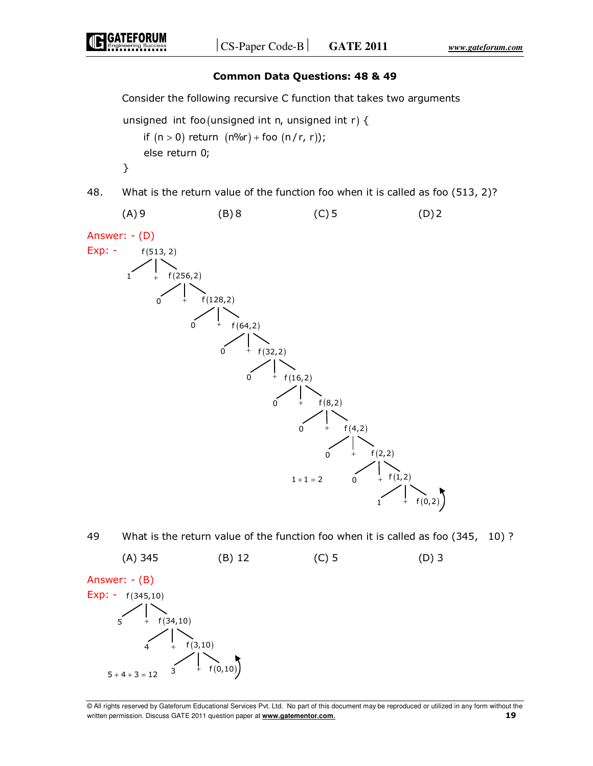## **Common Data Questions: 48 & 49**

Consider the following recursive C function that takes two arguments

```
unsigned int foo (unsigned int n, unsigned int r) {
    if (n > 0) return (n\%r) + foo (n/r, r);
    else return 0;
}
```


49 What is the return value of the function foo when it is called as foo (345, 10) ?

(A) 345 (B) 12 (C) 5 (D) 3 Answer: - (B)  $Exp: - f(345, 10)$  $f(34,10)$  $f(3,10)$ f (0,10) + +  $\ddot{+}$ 5 4  $5 + 4 + 3 = 12$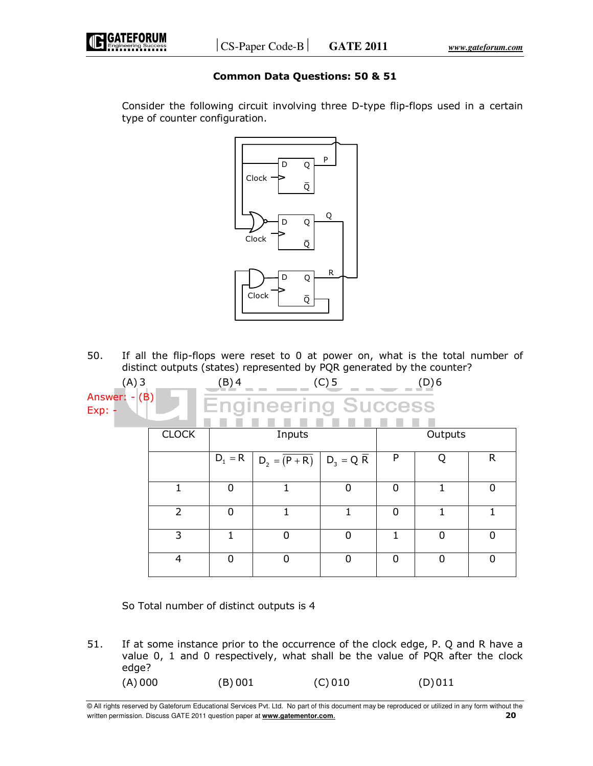

## **Common Data Questions: 50 & 51**

 Consider the following circuit involving three D-type flip-flops used in a certain type of counter configuration.



50. If all the flip-flops were reset to 0 at power on, what is the total number of distinct outputs (states) represented by PQR generated by the counter?

| $(A)$ 3<br>(B)<br>Answer:<br>÷.<br>$Exp: -$ |                | $(C)$ 5<br>(B) 4<br>(D)6   |                             |             |             |          |                |
|---------------------------------------------|----------------|----------------------------|-----------------------------|-------------|-------------|----------|----------------|
|                                             |                | <b>Engineering Success</b> |                             |             |             |          |                |
|                                             | <b>CLOCK</b>   |                            | Inputs                      |             |             | Outputs  |                |
|                                             |                |                            | $D_1 = R$   $D_2 = (P + R)$ | $D_3 = Q R$ | P           | 0        | $\mathsf{R}$   |
|                                             | 1              | $\mathbf 0$                |                             | 0           | $\mathbf 0$ |          | $\mathbf 0$    |
|                                             | 2              | $\Omega$                   | 1                           | 1           | $\Omega$    |          | 1              |
|                                             | 3              |                            | $\Omega$                    |             |             | $\Omega$ | $\overline{0}$ |
|                                             | $\overline{4}$ | $\Omega$                   | $\Omega$                    | 0           | $\Omega$    | $\Omega$ | 0              |

So Total number of distinct outputs is 4

51. If at some instance prior to the occurrence of the clock edge, P. Q and R have a value 0, 1 and 0 respectively, what shall be the value of PQR after the clock edge?  $(A) 000$  (B) 001 (C) 010 (D) 011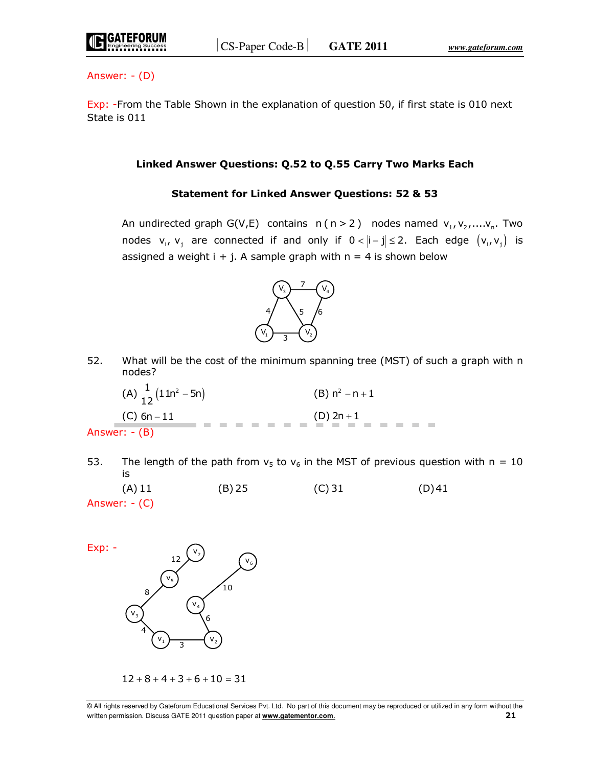

Answer: - (D)

Exp: -From the Table Shown in the explanation of question 50, if first state is 010 next State is 011

### **Linked Answer Questions: Q.52 to Q.55 Carry Two Marks Each**

## **Statement for Linked Answer Questions: 52 & 53**

An undirected graph G(V,E) contains  $n (n > 2)$  nodes named  $v_1, v_2, \ldots, v_n$ . Two nodes  $v_i$ ,  $v_j$  are connected if and only if  $0 < |i - j| \le 2$ . Each edge  $(v_i, v_j)$  is assigned a weight  $i + j$ . A sample graph with  $n = 4$  is shown below



52. What will be the cost of the minimum spanning tree (MST) of such a graph with n nodes?



53. The length of the path from  $v_5$  to  $v_6$  in the MST of previous question with n = 10 is

 $(A) 11$  (B) 25 (C) 31 (D) 41 Answer: - (C)



 $12 + 8 + 4 + 3 + 6 + 10 = 31$ 

<sup>©</sup> All rights reserved by Gateforum Educational Services Pvt. Ltd. No part of this document may be reproduced or utilized in any form without the written permission. Discuss GATE 2011 question paper at **www.gatementor.com**. **21**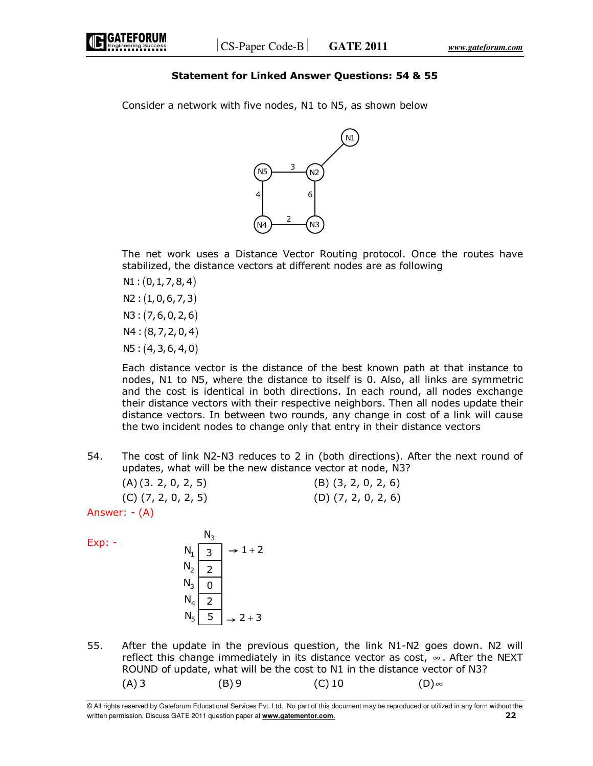## **Statement for Linked Answer Questions: 54 & 55**

Consider a network with five nodes, N1 to N5, as shown below



 The net work uses a Distance Vector Routing protocol. Once the routes have stabilized, the distance vectors at different nodes are as following

- $N1$  :  $(0, 1, 7, 8, 4)$
- $N2: (1, 0, 6, 7, 3)$
- $N3: (7,6,0,2,6)$
- $N4$ :  $(8, 7, 2, 0, 4)$
- $N5: (4, 3, 6, 4, 0)$

 Each distance vector is the distance of the best known path at that instance to nodes, N1 to N5, where the distance to itself is 0. Also, all links are symmetric and the cost is identical in both directions. In each round, all nodes exchange their distance vectors with their respective neighbors. Then all nodes update their distance vectors. In between two rounds, any change in cost of a link will cause the two incident nodes to change only that entry in their distance vectors

54. The cost of link N2-N3 reduces to 2 in (both directions). After the next round of updates, what will be the new distance vector at node, N3?

| (A)(3, 2, 0, 2, 5)           | $(B)$ $(3, 2, 0, 2, 6)$ |
|------------------------------|-------------------------|
| $(C)$ $(7, 2, 0, 2, 5)$      | $(D)$ $(7, 2, 0, 2, 6)$ |
| $\Delta$ ncwar: $( \Delta )$ |                         |

Answer: - (A)

Exp: -

|                | דיי |         |
|----------------|-----|---------|
| $\mathsf{N}_1$ |     | $1 + 2$ |
| $N_2$          |     |         |
| $N_3$          |     |         |
| $N_4$<br>$N_5$ |     |         |
|                | 5   | $2 + 3$ |
|                |     |         |

<sub>N</sub>

55. After the update in the previous question, the link N1-N2 goes down. N2 will reflect this change immediately in its distance vector as cost,  $\infty$ . After the NEXT ROUND of update, what will be the cost to N1 in the distance vector of N3?  $(A)$  3 (B) 9 (C) 10 (D) ∞

<sup>©</sup> All rights reserved by Gateforum Educational Services Pvt. Ltd. No part of this document may be reproduced or utilized in any form without the written permission. Discuss GATE 2011 question paper at **www.gatementor.com**. **22**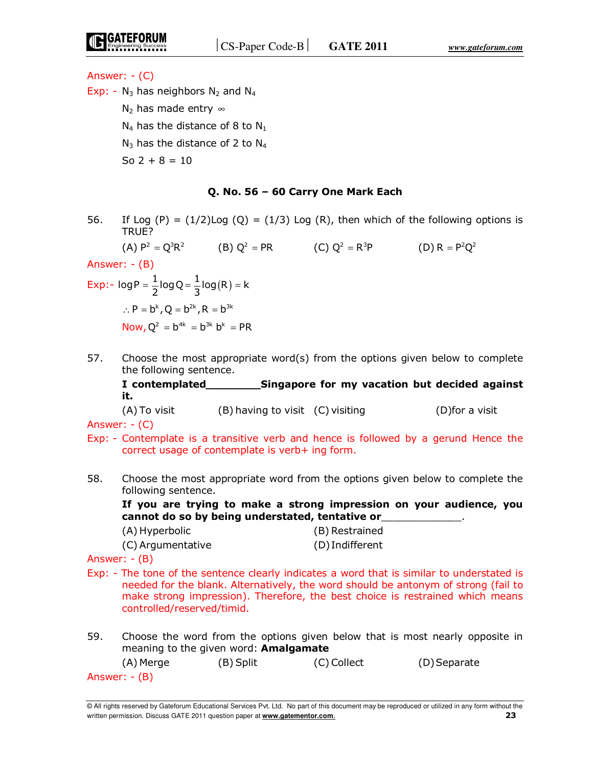Answer: - (C)

Exp: -  $N_3$  has neighbors  $N_2$  and  $N_4$ 

N<sub>2</sub> has made entry  $\infty$ 

 $N_4$  has the distance of 8 to  $N_1$ 

 $N_3$  has the distance of 2 to  $N_4$ 

So  $2 + 8 = 10$ 

#### **Q. No. 56 – 60 Carry One Mark Each**

- 56. If Log  $(P) = (1/2)$ Log  $(Q) = (1/3)$  Log  $(R)$ , then which of the following options is TRUE? (A)  $P^2 = Q^3 R^2$  (B)  $Q^2 = PR$  (C)  $Q^2 = R^3 P$  (D)  $R = P^2 Q^2$ Answer: - (B) Exp:-  $\log P = \frac{1}{2} \log Q = \frac{1}{3} \log (R) = k$  $=$   $\frac{1}{6}$  log Q =  $\frac{1}{6}$  log (R) =  $\therefore$  P =  $b^k$ , Q =  $b^{2k}$ , R =  $b^{3k}$ Now,  $Q^2 = b^{4k} = b^{3k} b^k = PR$
- 57. Choose the most appropriate word(s) from the options given below to complete the following sentence.

 **I contemplated\_\_\_\_\_\_\_\_Singapore for my vacation but decided against it.**

 $(A)$  To visit (B) having to visit (C) visiting (D)for a visit Answer: - (C)

- Exp: Contemplate is a transitive verb and hence is followed by a gerund Hence the correct usage of contemplate is verb+ ing form.
- 58. Choose the most appropriate word from the options given below to complete the following sentence.

 **If you are trying to make a strong impression on your audience, you cannot do so by being understated, tentative or**\_\_\_\_\_\_\_\_\_\_\_\_\_.

| (A) Hyperbolic    | (B) Restrained  |
|-------------------|-----------------|
| (C) Argumentative | (D) Indifferent |

Answer: - (B)

- Exp: The tone of the sentence clearly indicates a word that is similar to understated is needed for the blank. Alternatively, the word should be antonym of strong (fail to make strong impression). Therefore, the best choice is restrained which means controlled/reserved/timid.
- 59. Choose the word from the options given below that is most nearly opposite in meaning to the given word: **Amalgamate**

| (A) Merge     | (B) Split | (C) Collect | (D) Separate |
|---------------|-----------|-------------|--------------|
| Answer: - (B) |           |             |              |
|               |           |             |              |

<sup>©</sup> All rights reserved by Gateforum Educational Services Pvt. Ltd. No part of this document may be reproduced or utilized in any form without the written permission. Discuss GATE 2011 question paper at **www.gatementor.com**. **23**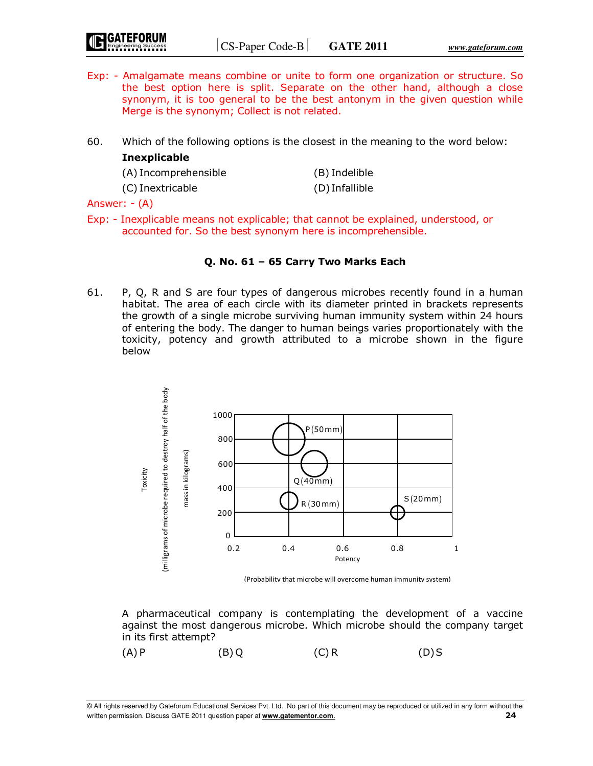- Exp: Amalgamate means combine or unite to form one organization or structure. So the best option here is split. Separate on the other hand, although a close synonym, it is too general to be the best antonym in the given question while Merge is the synonym; Collect is not related.
- 60. Which of the following options is the closest in the meaning to the word below: **Inexplicable**

| (A) Incomprehensible | (B) Indelible  |
|----------------------|----------------|
| (C) Inextricable     | (D) Infallible |

Answer: - (A)

Exp: - Inexplicable means not explicable; that cannot be explained, understood, or accounted for. So the best synonym here is incomprehensible.

## **Q. No. 61 – 65 Carry Two Marks Each**

61. P, Q, R and S are four types of dangerous microbes recently found in a human habitat. The area of each circle with its diameter printed in brackets represents the growth of a single microbe surviving human immunity system within 24 hours of entering the body. The danger to human beings varies proportionately with the toxicity, potency and growth attributed to a microbe shown in the figure below



(Probability that microbe will overcome human immunity system)

 A pharmaceutical company is contemplating the development of a vaccine against the most dangerous microbe. Which microbe should the company target in its first attempt?

 $(A)$  P (B) Q (C) R (D) S

<sup>©</sup> All rights reserved by Gateforum Educational Services Pvt. Ltd. No part of this document may be reproduced or utilized in any form without the written permission. Discuss GATE 2011 question paper at **www.gatementor.com**. **24**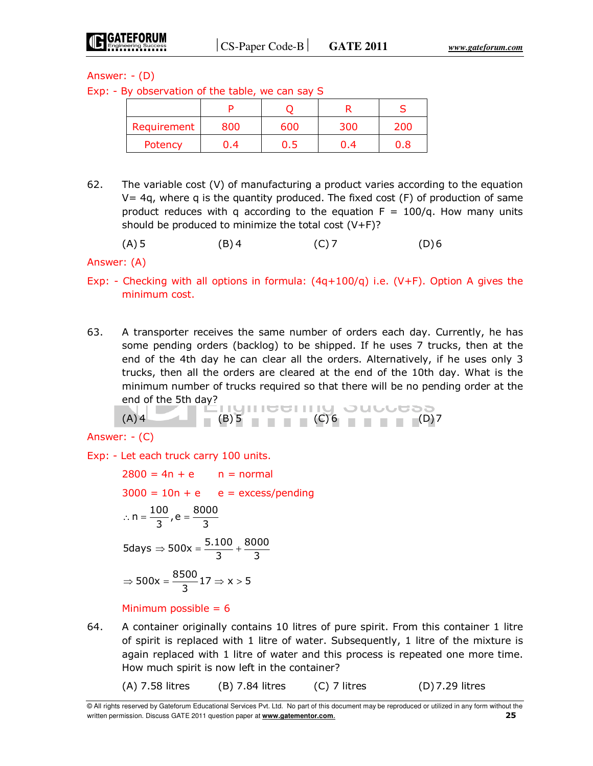Answer: - (D)

Exp: - By observation of the table, we can say S

| Requirement | 800 | 600 | 300 | 200 |
|-------------|-----|-----|-----|-----|
| Potency     | 0.4 | υ.5 | 0.4 | 0.8 |

62. The variable cost  $(V)$  of manufacturing a product varies according to the equation  $V=$  4q, where q is the quantity produced. The fixed cost  $(F)$  of production of same product reduces with q according to the equation  $F = 100/q$ . How many units should be produced to minimize the total cost  $(V+F)$ ?

(A) 5 (B) 4 (C) 7 (D) 6

Answer: (A)

- Exp: Checking with all options in formula:  $(4q+100/q)$  i.e.  $(V+F)$ . Option A gives the minimum cost.
- 63. A transporter receives the same number of orders each day. Currently, he has some pending orders (backlog) to be shipped. If he uses 7 trucks, then at the end of the 4th day he can clear all the orders. Alternatively, if he uses only 3 trucks, then all the orders are cleared at the end of the 10th day. What is the minimum number of trucks required so that there will be no pending order at the end of the 5th day?

(A) 
$$
4
$$
 (B)  $5$  (C)  $6$  (D)  $7$ 

Answer: - (C)

Exp: - Let each truck carry 100 units.

 $2800 = 4n + e$   $n = normal$  $3000 = 10n + e$  e = excess/pending  $n = \frac{100}{3}$ , e =  $\frac{8000}{3}$  $\therefore$  n =  $\frac{100}{2}$ , e =  $5 \text{days} \Rightarrow 500 \text{x} = \frac{5.100}{3} + \frac{8000}{3}$  $\Rightarrow$  500x =  $\frac{3.100}{2}$  +  $\Rightarrow$  500x =  $\frac{8500}{3}$ 17  $\Rightarrow$  x > 5

Minimum possible  $= 6$ 

64. A container originally contains 10 litres of pure spirit. From this container 1 litre of spirit is replaced with 1 litre of water. Subsequently, 1 litre of the mixture is again replaced with 1 litre of water and this process is repeated one more time. How much spirit is now left in the container?

 $(A)$  7.58 litres (B) 7.84 litres (C) 7 litres (D) 7.29 litres